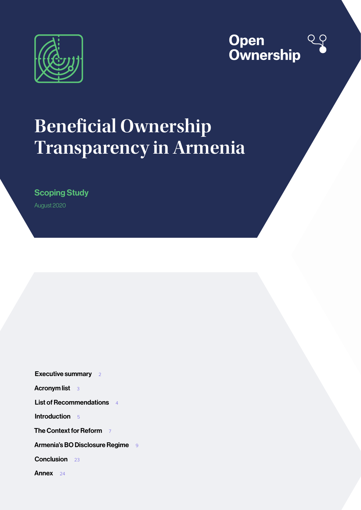



# **Beneficial Ownership Transparency in Armenia**

Scoping Study

August 2020

[Executive summary](#page-1-0) 2

[Acronym list](#page-2-0) 3

[List of Recommendations](#page-3-0) 4

[Introduction](#page-4-0) 5

**[The Context for Reform](#page-6-0)** 7

[Armenia's BO Disclosure Regime](#page-8-0) 9

[Conclusion](#page-22-0) 23

[Annex](#page-23-0) 24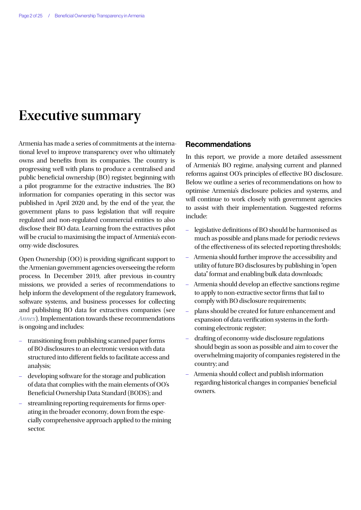## <span id="page-1-0"></span>**Executive summary**

Armenia has made a series of commitments at the international level to improve transparency over who ultimately owns and benefits from its companies. The country is progressing well with plans to produce a centralised and public beneficial ownership (BO) register, beginning with a pilot programme for the extractive industries. The BO information for companies operating in this sector was published in April 2020 and, by the end of the year, the government plans to pass legislation that will require regulated and non-regulated commercial entities to also disclose their BO data. Learning from the extractives pilot will be crucial to maximising the impact of Armenia's economy-wide disclosures.

Open Ownership (OO) is providing significant support to the Armenian government agencies overseeing the reform process. In December 2019, after previous in-country missions, we provided a series of recommendations to help inform the development of the regulatory framework, software systems, and business processes for collecting and publishing BO data for extractives companies (see *[Annex](#page-23-1)*). Implementation towards these recommendations is ongoing and includes:

- transitioning from publishing scanned paper forms of BO disclosures to an electronic version with data structured into different fields to facilitate access and analysis;
- developing software for the storage and publication of data that complies with the main elements of OO's Beneficial Ownership Data Standard (BODS); and
- streamlining reporting requirements for firms operating in the broader economy, down from the especially comprehensive approach applied to the mining sector.

## Recommendations

In this report, we provide a more detailed assessment of Armenia's BO regime, analysing current and planned reforms against OO's principles of effective BO disclosure. Below we outline a series of recommendations on how to optimise Armenia's disclosure policies and systems, and will continue to work closely with government agencies to assist with their implementation. Suggested reforms include:

- legislative definitions of BO should be harmonised as much as possible and plans made for periodic reviews of the effectiveness of its selected reporting thresholds;
- Armenia should further improve the accessibility and utility of future BO disclosures by publishing in "open data" format and enabling bulk data downloads;
- Armenia should develop an effective sanctions regime to apply to non-extractive sector firms that fail to comply with BO disclosure requirements;
- plans should be created for future enhancement and expansion of data verification systems in the forthcoming electronic register;
- drafting of economy-wide disclosure regulations should begin as soon as possible and aim to cover the overwhelming majority of companies registered in the country; and
- Armenia should collect and publish information regarding historical changes in companies' beneficial owners.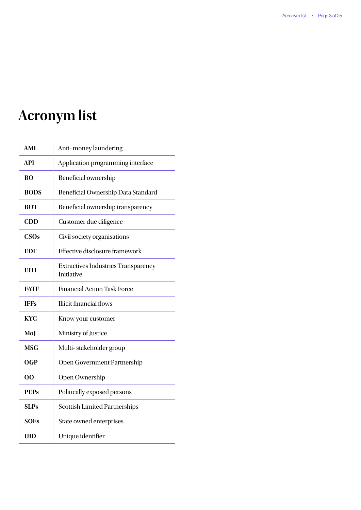# <span id="page-2-0"></span>**Acronym list**

| <b>AML</b>  | Anti-money laundering                                    |  |
|-------------|----------------------------------------------------------|--|
| <b>API</b>  | Application programming interface                        |  |
| <b>BO</b>   | Beneficial ownership                                     |  |
| <b>BODS</b> | Beneficial Ownership Data Standard                       |  |
| <b>BOT</b>  | Beneficial ownership transparency                        |  |
| CDD         | Customer due diligence                                   |  |
| CSOs        | Civil society organisations                              |  |
| EDF         | <b>Effective disclosure framework</b>                    |  |
| <b>EITI</b> | <b>Extractives Industries Transparency</b><br>Initiative |  |
| <b>FATF</b> | <b>Financial Action Task Force</b>                       |  |
| <b>IFFs</b> | Illicit financial flows                                  |  |
| <b>KYC</b>  | Know your customer                                       |  |
| MoJ         | Ministry of Justice                                      |  |
| <b>MSG</b>  | Multi-stakeholder group                                  |  |
| <b>OGP</b>  | Open Government Partnership                              |  |
| 00          | Open Ownership                                           |  |
| <b>PEPs</b> | Politically exposed persons                              |  |
| <b>SLPs</b> | <b>Scottish Limited Partnerships</b>                     |  |
| <b>SOEs</b> | State owned enterprises                                  |  |
| <b>UID</b>  | Unique identifier                                        |  |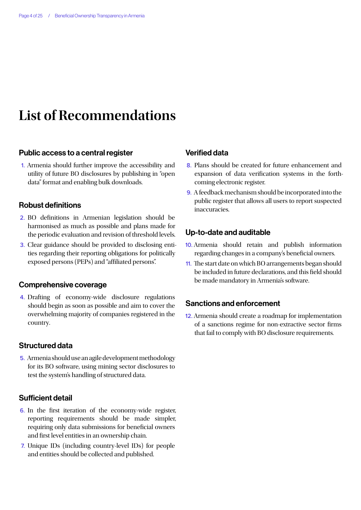## <span id="page-3-0"></span>**List of Recommendations**

### Public access to a central register

1. Armenia should further improve the accessibility and utility of future BO disclosures by publishing in "open data" format and enabling bulk downloads.

### Robust definitions

- 2. BO definitions in Armenian legislation should be harmonised as much as possible and plans made for the periodic evaluation and revision of threshold levels.
- 3. Clear guidance should be provided to disclosing entities regarding their reporting obligations for politically exposed persons (PEPs) and "affiliated persons".

#### Comprehensive coverage

4. Drafting of economy-wide disclosure regulations should begin as soon as possible and aim to cover the overwhelming majority of companies registered in the country.

#### Structured data

5. Armenia should use an agile development methodology for its BO software, using mining sector disclosures to test the system's handling of structured data.

## Sufficient detail

- 6. In the first iteration of the economy-wide register, reporting requirements should be made simpler, requiring only data submissions for beneficial owners and first level entities in an ownership chain.
- 7. Unique IDs (including country-level IDs) for people and entities should be collected and published.

## Verified data

- 8. Plans should be created for future enhancement and expansion of data verification systems in the forthcoming electronic register.
- 9. A feedback mechanism should be incorporated into the public register that allows all users to report suspected inaccuracies.

### Up-to-date and auditable

- 10. Armenia should retain and publish information regarding changes in a company's beneficial owners.
- 11. The start date on which BO arrangements began should be included in future declarations, and this field should be made mandatory in Armenia's software.

## Sanctions and enforcement

12. Armenia should create a roadmap for implementation of a sanctions regime for non-extractive sector firms that fail to comply with BO disclosure requirements.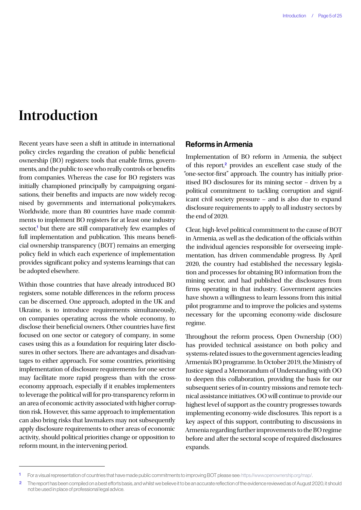## <span id="page-4-0"></span>**Introduction**

Recent years have seen a shift in attitude in international policy circles regarding the creation of public beneficial ownership (BO) registers: tools that enable firms, governments, and the public to see who really controls or benefits from companies. Whereas the case for BO registers was initially championed principally by campaigning organisations, their benefits and impacts are now widely recognised by governments and international policymakers. Worldwide, more than 80 countries have made commitments to implement BO registers for at least one industry sector,<sup>1</sup> but there are still comparatively few examples of full implementation and publication. This means beneficial ownership transparency (BOT) remains an emerging policy field in which each experience of implementation provides significant policy and systems learnings that can be adopted elsewhere.

Within those countries that have already introduced BO registers, some notable differences in the reform process can be discerned. One approach, adopted in the UK and Ukraine, is to introduce requirements simultaneously, on companies operating across the whole economy, to disclose their beneficial owners. Other countries have first focused on one sector or category of company, in some cases using this as a foundation for requiring later disclosures in other sectors. There are advantages and disadvantages to either approach. For some countries, prioritising implementation of disclosure requirements for one sector may facilitate more rapid progress than with the crosseconomy approach, especially if it enables implementers to leverage the political will for pro-transparency reform in an area of economic activity associated with higher corruption risk. However, this same approach to implementation can also bring risks that lawmakers may not subsequently apply disclosure requirements to other areas of economic activity, should political priorities change or opposition to reform mount, in the intervening period.

## Reforms in Armenia

Implementation of BO reform in Armenia, the subject of this report,<sup>2</sup> provides an excellent case study of the "one-sector-first" approach. The country has initially prioritised BO disclosures for its mining sector – driven by a political commitment to tackling corruption and significant civil society pressure – and is also due to expand disclosure requirements to apply to all industry sectors by the end of 2020.

Clear, high-level political commitment to the cause of BOT in Armenia, as well as the dedication of the officials within the individual agencies responsible for overseeing implementation, has driven commendable progress. By April 2020, the country had established the necessary legislation and processes for obtaining BO information from the mining sector, and had published the disclosures from firms operating in that industry. Government agencies have shown a willingness to learn lessons from this initial pilot programme and to improve the policies and systems necessary for the upcoming economy-wide disclosure regime.

Throughout the reform process, Open Ownership (OO) has provided technical assistance on both policy and systems-related issues to the government agencies leading Armenia's BO programme. In October 2019, the Ministry of Justice signed a Memorandum of Understanding with OO to deepen this collaboration, providing the basis for our subsequent series of in-country missions and remote technical assistance initiatives. OO will continue to provide our highest level of support as the country progresses towards implementing economy-wide disclosures. This report is a key aspect of this support, contributing to discussions in Armenia regarding further improvements to the BO regime before and after the sectoral scope of required disclosures expands.

<sup>1</sup> For a visual representation of countries that have made public commitments to improving BOT please see:<https://www.openownership.org/map/>.

<sup>&</sup>lt;sup>2</sup> The report has been compiled on a best efforts basis, and whilst we believe it to be an accurate reflection of the evidence reviewed as of August 2020, it should not be used in place of professional legal advice.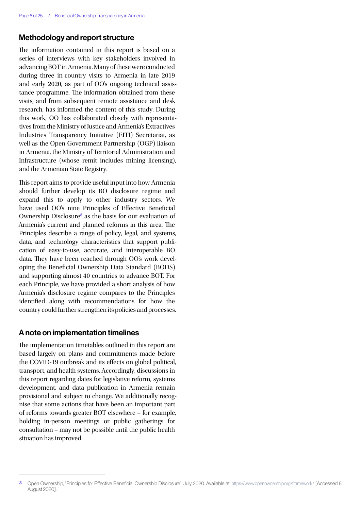### Methodology and report structure

The information contained in this report is based on a series of interviews with key stakeholders involved in advancing BOT in Armenia. Many of these were conducted during three in-country visits to Armenia in late 2019 and early 2020, as part of OO's ongoing technical assistance programme. The information obtained from these visits, and from subsequent remote assistance and desk research, has informed the content of this study. During this work, OO has collaborated closely with representatives from the Ministry of Justice and Armenia's Extractives Industries Transparency Initiative (EITI) Secretariat, as well as the Open Government Partnership (OGP) liaison in Armenia, the Ministry of Territorial Administration and Infrastructure (whose remit includes mining licensing), and the Armenian State Registry.

This report aims to provide useful input into how Armenia should further develop its BO disclosure regime and expand this to apply to other industry sectors. We have used OO's nine Principles of Effective Beneficial Ownership Disclosure<sup>3</sup> as the basis for our evaluation of Armenia's current and planned reforms in this area. The Principles describe a range of policy, legal, and systems, data, and technology characteristics that support publication of easy-to-use, accurate, and interoperable BO data. They have been reached through OO's work developing the Beneficial Ownership Data Standard (BODS) and supporting almost 40 countries to advance BOT. For each Principle, we have provided a short analysis of how Armenia's disclosure regime compares to the Principles identified along with recommendations for how the country could further strengthen its policies and processes.

#### A note on implementation timelines

The implementation timetables outlined in this report are based largely on plans and commitments made before the COVID-19 outbreak and its effects on global political, transport, and health systems. Accordingly, discussions in this report regarding dates for legislative reform, systems development, and data publication in Armenia remain provisional and subject to change. We additionally recognise that some actions that have been an important part of reforms towards greater BOT elsewhere – for example, holding in-person meetings or public gatherings for consultation – may not be possible until the public health situation has improved.

<sup>3</sup> Open Ownership, "Principles for Effective Beneficial Ownership Disclosure". July 2020. Available at: <https://www.openownership.org/framework/> [Accessed 6 August 2020].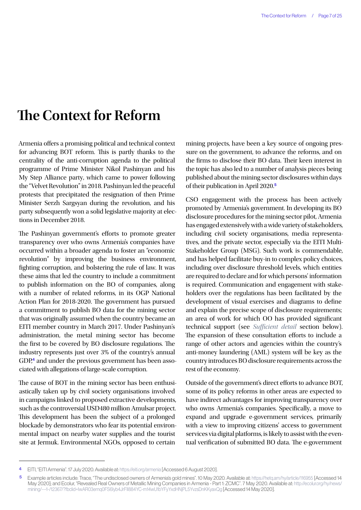## <span id="page-6-0"></span>**The Context for Reform**

Armenia offers a promising political and technical context for advancing BOT reform. This is partly thanks to the centrality of the anti-corruption agenda to the political programme of Prime Minister Nikol Pashinyan and his My Step Alliance party, which came to power following the "Velvet Revolution" in 2018. Pashinyan led the peaceful protests that precipitated the resignation of then Prime Minister Serzh Sargsyan during the revolution, and his party subsequently won a solid legislative majority at elections in December 2018.

The Pashinyan government's efforts to promote greater transparency over who owns Armenia's companies have occurred within a broader agenda to foster an "economic revolution" by improving the business environment, fighting corruption, and bolstering the rule of law. It was these aims that led the country to include a commitment to publish information on the BO of companies, along with a number of related reforms, in its OGP National Action Plan for 2018-2020. The government has pursued a commitment to publish BO data for the mining sector that was originally assumed when the country became an EITI member country in March 2017. Under Pashinyan's administration, the metal mining sector has become the first to be covered by BO disclosure regulations. The industry represents just over 3% of the country's annual GDP,<sup>4</sup> and under the previous government has been associated with allegations of large-scale corruption.

The cause of BOT in the mining sector has been enthusiastically taken up by civil society organisations involved in campaigns linked to proposed extractive developments, such as the controversial USD480 million Amulsar project. This development has been the subject of a prolonged blockade by demonstrators who fear its potential environmental impact on nearby water supplies and the tourist site at Jermuk. Environmental NGOs, opposed to certain

mining projects, have been a key source of ongoing pressure on the government, to advance the reforms, and on the firms to disclose their BO data. Their keen interest in the topic has also led to a number of analysis pieces being published about the mining sector disclosures within days of their publication in April 2020.<sup>5</sup>

CSO engagement with the process has been actively promoted by Armenia's government. In developing its BO disclosure procedures for the mining sector pilot, Armenia has engaged extensively with a wide variety of stakeholders, including civil society organisations, media representatives, and the private sector, especially via the EITI Multi-Stakeholder Group (MSG). Such work is commendable, and has helped facilitate buy-in to complex policy choices, including over disclosure threshold levels, which entities are required to declare and for which persons' information is required. Communication and engagement with stakeholders over the regulations has been facilitated by the development of visual exercises and diagrams to define and explain the precise scope of disclosure requirements; an area of work for which OO has provided significant technical support (see *[Sufficient detail](#page-14-0)* section below). The expansion of these consultation efforts to include a range of other actors and agencies within the country's anti-money laundering (AML) system will be key as the country introduces BO disclosure requirements across the rest of the economy.

Outside of the government's direct efforts to advance BOT, some of its policy reforms in other areas are expected to have indirect advantages for improving transparency over who owns Armenia's companies. Specifically, a move to expand and upgrade e-government services, primarily with a view to improving citizens' access to government services via digital platforms, is likely to assist with the eventual verification of submitted BO data. The e-government

<sup>4</sup> EITI, "EITI Armenia". 17 July 2020. Available at:<https://eiti.org/armenia>[Accessed 6 August 2020].

<sup>5</sup> Example articles include: Trace, "The undisclosed owners of Armenia's gold mines". 10 May 2020. Available at: <https://hetq.am/hy/article/116955> [Accessed 14 May 2020]; and Ecolur, "Revealed Real Owners of Metallic Mining Companies in Armenia - Part 1: ZCMC". 7 May 2020. Available at: [http://ecolur.org/hy/news/](http://ecolur.org/hy/news/mining/---1-/12367/?fbclid=IwAR03ernq0FS6Iyb4JrFIl884YC-m14wU1bYFyYxdHNjPL5YvzsDnKKyaxQg) [mining/---1-/12367/?fbclid=IwAR03ernq0FS6Iyb4JrFIl884YC-m14wU1bYFyYxdHNjPL5YvzsDnKKyaxQg](http://ecolur.org/hy/news/mining/---1-/12367/?fbclid=IwAR03ernq0FS6Iyb4JrFIl884YC-m14wU1bYFyYxdHNjPL5YvzsDnKKyaxQg) [Accessed 14 May 2020].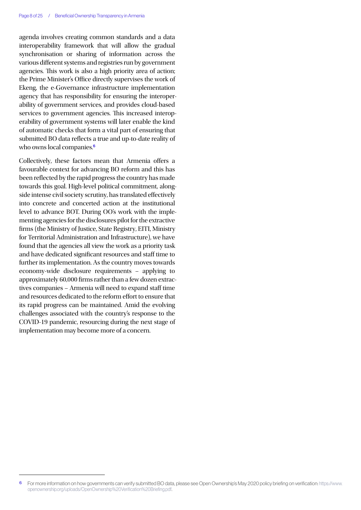agenda involves creating common standards and a data interoperability framework that will allow the gradual synchronisation or sharing of information across the various different systems and registries run by government agencies. This work is also a high priority area of action; the Prime Minister's Office directly supervises the work of Ekeng, the e-Governance infrastructure implementation agency that has responsibility for ensuring the interoperability of government services, and provides cloud-based services to government agencies. This increased interoperability of government systems will later enable the kind of automatic checks that form a vital part of ensuring that submitted BO data reflects a true and up-to-date reality of who owns local companies.<sup>6</sup>

Collectively, these factors mean that Armenia offers a favourable context for advancing BO reform and this has been reflected by the rapid progress the country has made towards this goal. High-level political commitment, alongside intense civil society scrutiny, has translated effectively into concrete and concerted action at the institutional level to advance BOT. During OO's work with the implementing agencies for the disclosures pilot for the extractive firms (the Ministry of Justice, State Registry, EITI, Ministry for Territorial Administration and Infrastructure), we have found that the agencies all view the work as a priority task and have dedicated significant resources and staff time to further its implementation. As the country moves towards economy-wide disclosure requirements – applying to approximately 60,000 firms rather than a few dozen extractives companies – Armenia will need to expand staff time and resources dedicated to the reform effort to ensure that its rapid progress can be maintained. Amid the evolving challenges associated with the country's response to the COVID-19 pandemic, resourcing during the next stage of implementation may become more of a concern.

<sup>6</sup> For more information on how governments can verify submitted BO data, please see Open Ownership's May 2020 policy briefing on verification: [https://www.](https://www.openownership.org/uploads/OpenOwnership%20Verification%20Briefing.pdf) [openownership.org/uploads/OpenOwnership%20Verification%20Briefing.pdf](https://www.openownership.org/uploads/OpenOwnership%20Verification%20Briefing.pdf).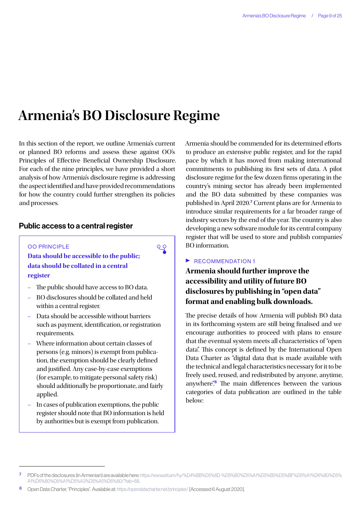## <span id="page-8-0"></span>**Armenia's BO Disclosure Regime**

In this section of the report, we outline Armenia's current or planned BO reforms and assess these against OO's Principles of Effective Beneficial Ownership Disclosure. For each of the nine principles, we have provided a short analysis of how Armenia's disclosure regime is addressing the aspect identified and have provided recommendations for how the country could further strengthen its policies and processes.

### Public access to a central register

#### OO PRINCIPLE

**Data should be accessible to the public; data should be collated in a central register**

- The public should have access to BO data.
- BO disclosures should be collated and held within a central register.
- Data should be accessible without barriers such as payment, identification, or registration requirements.
- Where information about certain classes of persons (e.g. minors) is exempt from publication, the exemption should be clearly defined and justified. Any case-by-case exemptions (for example, to mitigate personal safety risk) should additionally be proportionate, and fairly applied.
- In cases of publication exemptions, the public register should note that BO information is held by authorities but is exempt from publication.

Armenia should be commended for its determined efforts to produce an extensive public register, and for the rapid pace by which it has moved from making international commitments to publishing its first sets of data. A pilot disclosure regime for the few dozen firms operating in the country's mining sector has already been implemented and the BO data submitted by these companies was published in April 2020.<sup>7</sup> Current plans are for Armenia to introduce similar requirements for a far broader range of industry sectors by the end of the year. The country is also developing a new software module for its central company register that will be used to store and publish companies' BO information.

## $\triangleright$  RECOMMENDATION 1

 $Q$ 

**Armenia should further improve the accessibility and utility of future BO disclosures by publishing in "open data" format and enabling bulk downloads.**

The precise details of how Armenia will publish BO data in its forthcoming system are still being finalised and we encourage authorities to proceed with plans to ensure that the eventual system meets all characteristics of "open data". This concept is defined by the International Open Data Charter as "digital data that is made available with the technical and legal characteristics necessary for it to be freely used, reused, and redistributed by anyone, anytime, anywhere".<sup>8</sup> The main differences between the various categories of data publication are outlined in the table below:

<sup>7</sup> PDFs of the disclosures (in Armenian) are available here: [https://www.eiti.am/hy/%D4%BB%D5%8D-%D5%B0%D5%A1%D5%B5%D5%BF%D5%A1%D6%80%D5%](https://www.eiti.am/hy/%D4%BB%D5%8D-%D5%B0%D5%A1%D5%B5%D5%BF%D5%A1%D6%80%D5%A1%D6%80%D5%A1%D5%A3%D5%A5%D6%80/?tab=88) [A1%D6%80%D5%A1%D5%A3%D5%A5%D6%80/?tab=88.](https://www.eiti.am/hy/%D4%BB%D5%8D-%D5%B0%D5%A1%D5%B5%D5%BF%D5%A1%D6%80%D5%A1%D6%80%D5%A1%D5%A3%D5%A5%D6%80/?tab=88)

<sup>8</sup> Open Data Charter, "Principles". Available at: <https://opendatacharter.net/principles/>[Accessed 6 August 2020].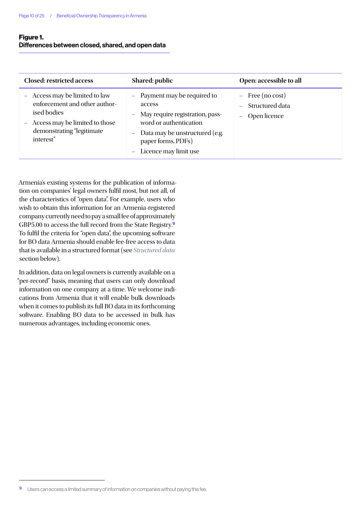## Figure 1.

## Differences between closed, shared, and open data

| <b>Closed: restricted access</b>                                                                                                                                 | Shared: public                                                                                                                                                                                                  | Open: accessible to all                                      |
|------------------------------------------------------------------------------------------------------------------------------------------------------------------|-----------------------------------------------------------------------------------------------------------------------------------------------------------------------------------------------------------------|--------------------------------------------------------------|
| - Access may be limited to law<br>enforcement and other author-<br>ised bodies<br>Access may be limited to those<br>-<br>demonstrating "legitimate"<br>interest" | - Payment may be required to<br>access<br>May require registration, pass-<br>$\rightarrow$<br>word or authentication<br>Data may be unstructured (e.g.<br>4<br>paper forms, PDFs)<br>Licence may limit use<br>- | $-$ Free (no cost)<br>- Structured data<br>Open licence<br>- |

Armenia's existing systems for the publication of information on companies' legal owners fulfil most, but not all, of the characteristics of "open data". For example, users who wish to obtain this information for an Armenia-registered company currently need to pay a small fee of approximately GBP5.00 to access the full record from the State Registry.<sup>9</sup> To fulfil the criteria for "open data", the upcoming software for BO data Armenia should enable fee-free access to data that is available in a structured format (see *[Structured data](#page-14-1)* section below).

In addition, data on legal owners is currently available on a "per-record" basis, meaning that users can only download information on one company at a time. We welcome indications from Armenia that it will enable bulk downloads when it comes to publish its full BO data in its forthcoming software. Enabling BO data to be accessed in bulk has numerous advantages, including economic ones.

<sup>9</sup> Users can access a limited summary of information on companies without paying this fee.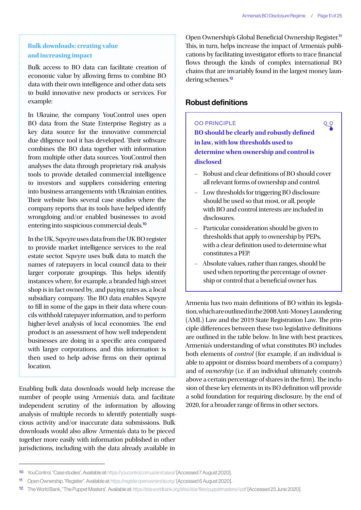$QQ$ 

## **Bulk downloads: creating value and increasing impact**

Bulk access to BO data can facilitate creation of economic value by allowing firms to combine BO data with their own intelligence and other data sets to build innovative new products or services. For example:

In Ukraine, the company YouControl uses open BO data from the State Enterprise Registry as a key data source for the innovative commercial due diligence tool it has developed. Their software combines the BO data together with information from multiple other data sources. YouControl then analyses the data through proprietary risk analysis tools to provide detailed commercial intelligence to investors and suppliers considering entering into business arrangements with Ukrainian entities. Their website lists several case studies where the company reports that its tools have helped identify wrongdoing and/or enabled businesses to avoid entering into suspicious commercial deals.<sup>10</sup>

In the UK, Sqwyre uses data from the UK BO register to provide market intelligence services to the real estate sector. Sqwyre uses bulk data to match the names of ratepayers in local council data to their larger corporate groupings. This helps identify instances where, for example, a branded high street shop is in fact owned by, and paying rates as, a local subsidiary company. The BO data enables Sqwyre to fill in some of the gaps in their data where councils withhold ratepayer information, and to perform higher-level analysis of local economies. The end product is an assessment of how well independent businesses are doing in a specific area compared with larger corporations, and this information is then used to help advise firms on their optimal location.

Enabling bulk data downloads would help increase the number of people using Armenia's data, and facilitate independent scrutiny of the information by allowing analysis of multiple records to identify potentially suspicious activity and/or inaccurate data submissions. Bulk downloads would also allow Armenia's data to be pieced together more easily with information published in other jurisdictions, including with the data already available in Open Ownership's Global Beneficial Ownership Register.<sup>11</sup> This, in turn, helps increase the impact of Armenia's publications by facilitating investigator efforts to trace financial flows through the kinds of complex international BO chains that are invariably found in the largest money laundering schemes.<sup>12</sup>

## Robust definitions

OO PRINCIPLE **BO should be clearly and robustly defined in law, with low thresholds used to determine when ownership and control is disclosed**

- Robust and clear definitions of BO should cover all relevant forms of ownership and control.
- Low thresholds for triggering BO disclosure should be used so that most, or all, people with BO and control interests are included in disclosures.
- Particular consideration should be given to thresholds that apply to ownership by PEPs, with a clear definition used to determine what constitutes a PEP.
- Absolute values, rather than ranges, should be used when reporting the percentage of ownership or control that a beneficial owner has.

Armenia has two main definitions of BO within its legislation, which are outlined in the 2008 Anti-Money Laundering (AML) Law and the 2019 State Registration Law. The principle differences between these two legislative definitions are outlined in the table below. In line with best practices, Armenia's understanding of what constitutes BO includes both elements of *control* (for example, if an individual is able to appoint or dismiss board members of a company) and of *ownership* (i.e. if an individual ultimately controls above a certain percentage of shares in the firm). The inclusion of these key elements in its BO definition will provide a solid foundation for requiring disclosure, by the end of 2020, for a broader range of firms in other sectors.

<sup>10</sup> YouControl, "Case studies". Available at: <https://youcontrol.com.ua/en/cases/> [Accessed 7 August 2020].

<sup>11</sup> Open Ownership, "Register". Available at: [https://register.openownership.org/](https://register.openownership.org/entities/59bfefd367e4ebf3402d4bc0/graph) [Accessed 6 August 2020].

<sup>12</sup> The World Bank, "The Puppet Masters". Available at: <https://star.worldbank.org/sites/star/files/puppetmastersv1.pdf>[Accessed 23 June 2020].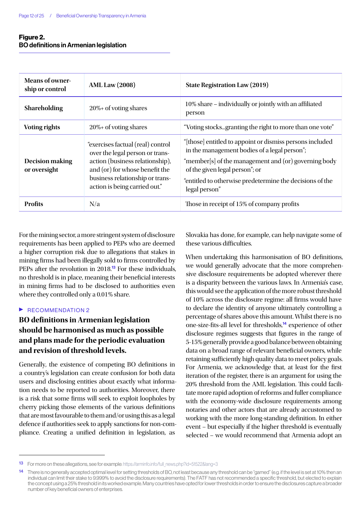## Figure 2. BO definitions in Armenian legislation

| <b>Means of owner-</b><br>ship or control | <b>AML Law (2008)</b>                                                                                                                                                                                         | State Registration Law (2019)                                                                                                                                                                                                                                                   |
|-------------------------------------------|---------------------------------------------------------------------------------------------------------------------------------------------------------------------------------------------------------------|---------------------------------------------------------------------------------------------------------------------------------------------------------------------------------------------------------------------------------------------------------------------------------|
| Shareholding                              | $20\%$ + of voting shares                                                                                                                                                                                     | 10% share – individually or jointly with an affiliated<br>person                                                                                                                                                                                                                |
| <b>Voting rights</b>                      | $20\%$ + of voting shares                                                                                                                                                                                     | "Voting stocksgranting the right to more than one vote"                                                                                                                                                                                                                         |
| Decision making<br>or oversight           | "exercises factual (real) control<br>over the legal person or trans-<br>action (business relationship),<br>and (or) for whose benefit the<br>business relationship or trans-<br>action is being carried out." | "[those] entitled to appoint or dismiss persons included<br>in the management bodies of a legal person";<br>"member[s] of the management and (or) governing body<br>of the given legal person"; or<br>"entitled to otherwise predetermine the decisions of the<br>legal person" |
| <b>Profits</b>                            | N/a                                                                                                                                                                                                           | Those in receipt of 15% of company profits                                                                                                                                                                                                                                      |

For the mining sector, a more stringent system of disclosure requirements has been applied to PEPs who are deemed a higher corruption risk due to allegations that stakes in mining firms had been illegally sold to firms controlled by PEPs after the revolution in 2018.<sup>13</sup> For these individuals, no threshold is in place, meaning their beneficial interests in mining firms had to be disclosed to authorities even where they controlled only a 0.01% share.

#### $\triangleright$  RECOMMENDATION 2

## **BO definitions in Armenian legislation should be harmonised as much as possible and plans made for the periodic evaluation and revision of threshold levels.**

Generally, the existence of competing BO definitions in a country's legislation can create confusion for both data users and disclosing entities about exactly what information needs to be reported to authorities. Moreover, there is a risk that some firms will seek to exploit loopholes by cherry picking those elements of the various definitions that are most favourable to them and/or using this as a legal defence if authorities seek to apply sanctions for non-compliance. Creating a unified definition in legislation, as

Slovakia has done, for example, can help navigate some of these various difficulties.

When undertaking this harmonisation of BO definitions, we would generally advocate that the more comprehensive disclosure requirements be adopted wherever there is a disparity between the various laws. In Armenia's case, this would see the application of the more robust threshold of 10% across the disclosure regime: all firms would have to declare the identity of anyone ultimately controlling a percentage of shares above this amount. Whilst there is no one-size-fits-all level for thresholds,<sup>14</sup> experience of other disclosure regimes suggests that figures in the range of 5-15% generally provide a good balance between obtaining data on a broad range of relevant beneficial owners, while retaining sufficiently high quality data to meet policy goals. For Armenia, we acknowledge that, at least for the first iteration of the register, there is an argument for using the 20% threshold from the AML legislation. This could facilitate more rapid adoption of reforms and fuller compliance with the economy-wide disclosure requirements among notaries and other actors that are already accustomed to working with the more long-standing definition. In either event – but especially if the higher threshold is eventually selected – we would recommend that Armenia adopt an

<sup>13</sup> For more on these allegations, see for example: [https://arminfo.info/full\\_news.php?id=51522&lang=3](https://arminfo.info/full_news.php?id=51522&lang=3)

<sup>14</sup> There is no generally accepted optimal level for setting thresholds of BO, not least because any threshold can be "gamed" (e.g. if the level is set at 10% then an individual can limit their stake to 9.999% to avoid the disclosure requirements). The FATF has not recommended a specific threshold, but elected to explain the concept using a 25% threshold in its worked example. Many countries have opted for lower thresholds in order to ensure the disclosures capture a broader number of key beneficial owners of enterprises.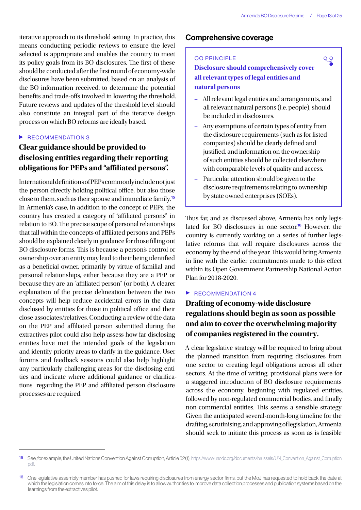९२

iterative approach to its threshold setting. In practice, this means conducting periodic reviews to ensure the level selected is appropriate and enables the country to meet its policy goals from its BO disclosures. The first of these should be conducted after the first round of economy-wide disclosures have been submitted, based on an analysis of the BO information received, to determine the potential benefits and trade-offs involved in lowering the threshold. Future reviews and updates of the threshold level should also constitute an integral part of the iterative design process on which BO reforms are ideally based.

### $\triangleright$  RECOMMENDATION 3

## **Clear guidance should be provided to disclosing entities regarding their reporting obligations for PEPs and "affiliated persons".**

International definitions of PEPs commonly include not just the person directly holding political office, but also those close to them, such as their spouse and immediate family.<sup>15</sup> In Armenia's case, in addition to the concept of PEPs, the country has created a category of "affiliated persons" in relation to BO. The precise scope of personal relationships that fall within the concepts of affiliated persons and PEPs should be explained clearly in guidance for those filling out BO disclosure forms. This is because a person's control or ownership over an entity may lead to their being identified as a beneficial owner, primarily by virtue of familial and personal relationships, either because they are a PEP or because they are an "affiliated person" (or both). A clearer explanation of the precise delineation between the two concepts will help reduce accidental errors in the data disclosed by entities for those in political office and their close associates/relatives. Conducting a review of the data on the PEP and affiliated person submitted during the extractives pilot could also help assess how far disclosing entities have met the intended goals of the legislation and identify priority areas to clarify in the guidance. User forums and feedback sessions could also help highlight any particularly challenging areas for the disclosing entities and indicate where additional guidance or clarifications regarding the PEP and affiliated person disclosure processes are required.

## Comprehensive coverage

#### OO PRINCIPLE

**Disclosure should comprehensively cover all relevant types of legal entities and natural persons**

- All relevant legal entities and arrangements, and all relevant natural persons (i.e. people), should be included in disclosures.
- Any exemptions of certain types of entity from the disclosure requirements (such as for listed companies) should be clearly defined and justified, and information on the ownership of such entities should be collected elsewhere with comparable levels of quality and access.
- Particular attention should be given to the disclosure requirements relating to ownership by state owned enterprises (SOEs).

Thus far, and as discussed above, Armenia has only legislated for BO disclosures in one sector.<sup>16</sup> However, the country is currently working on a series of further legislative reforms that will require disclosures across the economy by the end of the year. This would bring Armenia in line with the earlier commitments made to this effect within its Open Government Partnership National Action Plan for 2018-2020.

#### $\blacktriangleright$  RECOMMENDATION 4

## **Drafting of economy-wide disclosure regulations should begin as soon as possible and aim to cover the overwhelming majority of companies registered in the country.**

A clear legislative strategy will be required to bring about the planned transition from requiring disclosures from one sector to creating legal obligations across all other sectors. At the time of writing, provisional plans were for a staggered introduction of BO disclosure requirements across the economy, beginning with regulated entities, followed by non-regulated commercial bodies, and finally non-commercial entities. This seems a sensible strategy. Given the anticipated several-month-long timeline for the drafting, scrutinising, and approving of legislation, Armenia should seek to initiate this process as soon as is feasible

<sup>15</sup> See, for example, the United Nations Convention Against Corruption, Article 52(1), [https://www.unodc.org/documents/brussels/UN\\_Convention\\_Against\\_Corruption.](https://www.unodc.org/documents/brussels/UN_Convention_Against_Corruption.pdf) [pdf](https://www.unodc.org/documents/brussels/UN_Convention_Against_Corruption.pdf).

<sup>16</sup> One legislative assembly member has pushed for laws requiring disclosures from energy sector firms, but the MoJ has requested to hold back the date at which the legislation comes into force. The aim of this delay is to allow authorities to improve data collection processes and publication systems based on the learnings from the extractives pilot.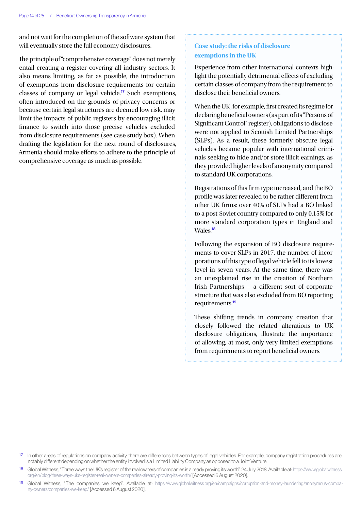and not wait for the completion of the software system that will eventually store the full economy disclosures.

The principle of "comprehensive coverage" does not merely entail creating a register covering all industry sectors. It also means limiting, as far as possible, the introduction of exemptions from disclosure requirements for certain classes of company or legal vehicle.<sup>17</sup> Such exemptions, often introduced on the grounds of privacy concerns or because certain legal structures are deemed low risk, may limit the impacts of public registers by encouraging illicit finance to switch into those precise vehicles excluded from disclosure requirements (see case study box). When drafting the legislation for the next round of disclosures, Armenia should make efforts to adhere to the principle of comprehensive coverage as much as possible.

## **Case study: the risks of disclosure exemptions in the UK**

Experience from other international contexts highlight the potentially detrimental effects of excluding certain classes of company from the requirement to disclose their beneficial owners.

When the UK, for example, first created its regime for declaring beneficial owners (as part of its "Persons of Significant Control" register), obligations to disclose were not applied to Scottish Limited Partnerships (SLPs). As a result, these formerly obscure legal vehicles became popular with international criminals seeking to hide and/or store illicit earnings, as they provided higher levels of anonymity compared to standard UK corporations.

Registrations of this firm type increased, and the BO profile was later revealed to be rather different from other UK firms: over 40% of SLPs had a BO linked to a post-Soviet country compared to only 0.15% for more standard corporation types in England and Wales<sup>18</sup>

Following the expansion of BO disclosure requirements to cover SLPs in 2017, the number of incorporations of this type of legal vehicle fell to its lowest level in seven years. At the same time, there was an unexplained rise in the creation of Northern Irish Partnerships – a different sort of corporate structure that was also excluded from BO reporting requirements.<sup>19</sup>

These shifting trends in company creation that closely followed the related alterations to UK disclosure obligations, illustrate the importance of allowing, at most, only very limited exemptions from requirements to report beneficial owners.

<sup>17</sup> In other areas of regulations on company activity, there are differences between types of legal vehicles. For example, company registration procedures are notably different depending on whether the entity involved is a Limited Liability Company as opposed to a Joint Venture.

Global Witness, "Three ways the UK's register of the real owners of companies is already proving its worth". 24 July 2018. Available at: [https://www.globalwitness.](https://www.globalwitness.org/en/blog/three-ways-uks-register-real-owners-companies-already-proving-its-worth/) [org/en/blog/three-ways-uks-register-real-owners-companies-already-proving-its-worth/](https://www.globalwitness.org/en/blog/three-ways-uks-register-real-owners-companies-already-proving-its-worth/) [Accessed 6 August 2020].

<sup>19</sup> Global Witness, "The companies we keep". Available at: [https://www.globalwitness.org/en/campaigns/corruption-and-money-laundering/anonymous-compa](https://www.globalwitness.org/en/campaigns/corruption-and-money-laundering/anonymous-company-owners/companies-we-keep/)[ny-owners/companies-we-keep/](https://www.globalwitness.org/en/campaigns/corruption-and-money-laundering/anonymous-company-owners/companies-we-keep/) [Accessed 6 August 2020].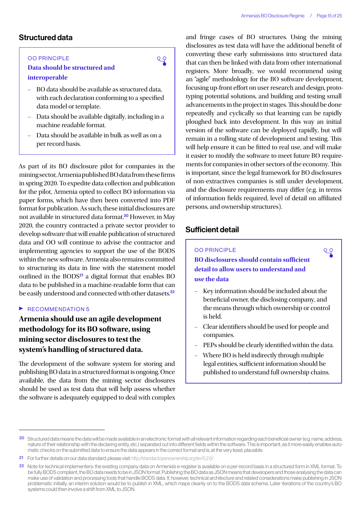## <span id="page-14-1"></span>Structured data

#### OO PRINCIPLE

**Data should be structured and interoperable**

– BO data should be available as structured data, with each declaration conforming to a specified data model or template.

 $Q$ 

- Data should be available digitally, including in a machine readable format.
- Data should be available in bulk as well as on a per record basis.

As part of its BO disclosure pilot for companies in the mining sector, Armenia published BO data from these firms in spring 2020. To expedite data collection and publication for the pilot, Armenia opted to collect BO information via paper forms, which have then been converted into PDF format for publication. As such, these initial disclosures are not available in structured data format.<sup>20</sup> However, in May 2020, the country contracted a private sector provider to develop software that will enable publication of structured data and OO will continue to advise the contractor and implementing agencies to support the use of the BODS within the new software. Armenia also remains committed to structuring its data in line with the statement model outlined in the  $BODS<sup>21</sup>$  a digital format that enables  $BO$ data to be published in a machine-readable form that can be easily understood and connected with other datasets.<sup>22</sup>

#### $\triangleright$  RECOMMENDATION 5

## **Armenia should use an agile development methodology for its BO software, using mining sector disclosures to test the system's handling of structured data.**

The development of the software system for storing and publishing BO data in a structured format is ongoing. Once available, the data from the mining sector disclosures should be used as test data that will help assess whether the software is adequately equipped to deal with complex

and fringe cases of BO structures. Using the mining disclosures as test data will have the additional benefit of converting these early submissions into structured data that can then be linked with data from other international registers. More broadly, we would recommend using an "agile" methodology for the BO software development, focusing up-front effort on user research and design, prototyping potential solutions, and building and testing small advancements in the project in stages. This should be done repeatedly and cyclically so that learning can be rapidly ploughed back into development. In this way an initial version of the software can be deployed rapidly, but will remain in a rolling state of development and testing. This will help ensure it can be fitted to real use, and will make it easier to modify the software to meet future BO requirements for companies in other sectors of the economy. This is important, since the legal framework for BO disclosures of non-extractives companies is still under development, and the disclosure requirements may differ (e.g. in terms of information fields required, level of detail on affiliated persons, and ownership structures).

## <span id="page-14-0"></span>Sufficient detail

#### OO PRINCIPLE

**BO disclosures should contain sufficient detail to allow users to understand and use the data**

– Key information should be included about the beneficial owner, the disclosing company, and the means through which ownership or control is held.

 $Q$ 

- Clear identifiers should be used for people and companies.
- PEPs should be clearly identified within the data.
- Where BO is held indirectly through multiple legal entities, sufficient information should be published to understand full ownership chains.

<sup>20</sup> Structured data means the data will be made available in an electronic format with all relevant information regarding each beneficial owner (e.g. name, address, nature of their relationship with the declaring entity, etc.) separated out into different fields within the software. This is important, as it more easily enables automatic checks on the submitted data to ensure the data appears in the correct format and is, at the very least, plausible.

<sup>21</sup> For further details on our data standard, please visit:<http://standard.openownership.org/en/0.2.0/>

<sup>22</sup> Note for technical implementers: the existing company data on Armenia's e-register is available on a per-record basis in a structured form in XML format. To be fully BODS compliant, the BO data needs to be in JSON format. Publishing the BO data as JSON means that developers and those analysing the data can make use of validation and processing tools that handle BODS data. If, however, technical architecture and related considerations make publishing in JSON problematic initially, an interim solution would be to publish in XML, which maps cleanly on to the BODS data schema. Later iterations of the country's BO systems could then involve a shift from XML to JSON.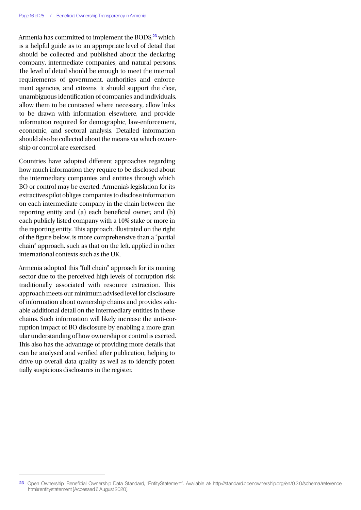Armenia has committed to implement the BODS,<sup>23</sup> which is a helpful guide as to an appropriate level of detail that should be collected and published about the declaring company, intermediate companies, and natural persons. The level of detail should be enough to meet the internal requirements of government, authorities and enforcement agencies, and citizens. It should support the clear, unambiguous identification of companies and individuals, allow them to be contacted where necessary, allow links to be drawn with information elsewhere, and provide information required for demographic, law-enforcement, economic, and sectoral analysis. Detailed information should also be collected about the means via which ownership or control are exercised.

Countries have adopted different approaches regarding how much information they require to be disclosed about the intermediary companies and entities through which BO or control may be exerted. Armenia's legislation for its extractives pilot obliges companies to disclose information on each intermediate company in the chain between the reporting entity and (a) each beneficial owner, and (b) each publicly listed company with a 10% stake or more in the reporting entity. This approach, illustrated on the right of the figure below, is more comprehensive than a "partial chain" approach, such as that on the left, applied in other international contexts such as the UK.

Armenia adopted this "full chain" approach for its mining sector due to the perceived high levels of corruption risk traditionally associated with resource extraction. This approach meets our minimum advised level for disclosure of information about ownership chains and provides valuable additional detail on the intermediary entities in these chains. Such information will likely increase the anti-corruption impact of BO disclosure by enabling a more granular understanding of how ownership or control is exerted. This also has the advantage of providing more details that can be analysed and verified after publication, helping to drive up overall data quality as well as to identify potentially suspicious disclosures in the register.

<sup>23</sup> Open Ownership, Beneficial Ownership Data Standard, "EntityStatement". Available at: http://standard.openownership.org/en/0.2.0/schema/reference. html#entitystatement [Accessed 6 August 2020].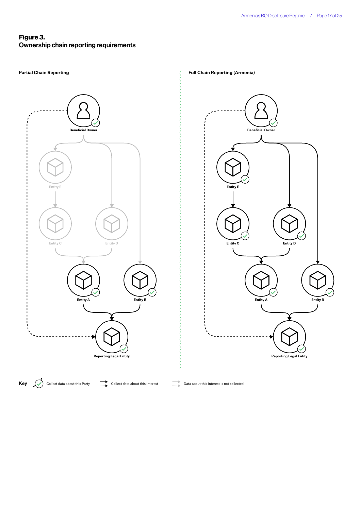## Figure 3. Ownership chain reporting requirements

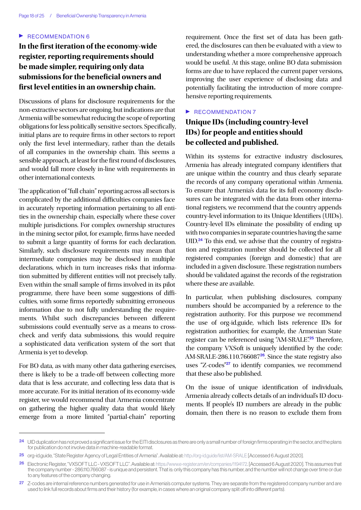### $\triangleright$  RECOMMENDATION 6

## **In the first iteration of the economy-wide register, reporting requirements should be made simpler, requiring only data submissions for the beneficial owners and first level entities in an ownership chain.**

Discussions of plans for disclosure requirements for the non-extractive sectors are ongoing, but indications are that Armenia will be somewhat reducing the scope of reporting obligations for less politically sensitive sectors. Specifically, initial plans are to require firms in other sectors to report only the first level intermediary, rather than the details of all companies in the ownership chain. This seems a sensible approach, at least for the first round of disclosures, and would fall more closely in-line with requirements in other international contexts.

The application of "full chain" reporting across all sectors is complicated by the additional difficulties companies face in accurately reporting information pertaining to all entities in the ownership chain, especially where these cover multiple jurisdictions. For complex ownership structures in the mining sector pilot, for example, firms have needed to submit a large quantity of forms for each declaration. Similarly, such disclosure requirements may mean that intermediate companies may be disclosed in multiple declarations, which in turn increases risks that information submitted by different entities will not precisely tally. Even within the small sample of firms involved in its pilot programme, there have been some suggestions of difficulties, with some firms reportedly submitting erroneous information due to not fully understanding the requirements. Whilst such discrepancies between different submissions could eventually serve as a means to crosscheck and verify data submissions, this would require a sophisticated data verification system of the sort that Armenia is yet to develop.

For BO data, as with many other data gathering exercises, there is likely to be a trade-off between collecting more data that is less accurate, and collecting less data that is more accurate. For its initial iteration of its economy-wide register, we would recommend that Armenia concentrate on gathering the higher quality data that would likely emerge from a more limited "partial-chain" reporting

requirement. Once the first set of data has been gathered, the disclosures can then be evaluated with a view to understanding whether a more comprehensive approach would be useful. At this stage, online BO data submission forms are due to have replaced the current paper versions, improving the user experience of disclosing data and potentially facilitating the introduction of more comprehensive reporting requirements.

#### $\blacktriangleright$  RECOMMENDATION 7

## **Unique IDs (including country-level IDs) for people and entities should be collected and published.**

Within its systems for extractive industry disclosures, Armenia has already integrated company identifiers that are unique within the country and thus clearly separate the records of any company operational within Armenia. To ensure that Armenia's data for its full economy disclosures can be integrated with the data from other international registers, we recommend that the country appends country-level information to its Unique Identifiers (UIDs). Country-level IDs eliminate the possibility of ending up with two companies in separate countries having the same UID.<sup>24</sup> To this end, we advise that the country of registration and registration number should be collected for all registered companies (foreign and domestic) that are included in a given disclosure. These registration numbers should be validated against the records of the registration where these are available.

In particular, when publishing disclosures, company numbers should be accompanied by a reference to the registration authority. For this purpose we recommend the use of org-id.guide, which lists reference IDs for registration authorities; for example, the Armenian State register can be referenced using "AM-SRALE".<sup>25</sup> Therefore, the company VXSoft is uniquely identified by the code: AM-SRALE-286.110.766087<sup>26</sup>. Since the state registry also uses "Z-codes"<sup>27</sup> to identify companies, we recommend that these also be published.

On the issue of unique identification of individuals, Armenia already collects details of an individual's ID documents. If people's ID numbers are already in the public domain, then there is no reason to exclude them from

<sup>24</sup> UID duplication has not proved a significant issue for the EITI disclosures as there are only a small number of foreign firms operating in the sector, and the plans for publication do not involve data in machine-readable format.

<sup>25</sup> org-id.guide, "State Register Agency of Legal Entities of Armenia". Available at:<http://org-id.guide/list/AM-SRALE>[Accessed 6 August 2020].

<sup>26</sup> Electronic Register, "VXSOFT LLC - VXSOFT LLC". Available at: [https://www.e-register.am/en/companies/1194172.](https://www.e-register.am/en/companies/1194172) [Accessed 6 August 2020]. This assumes that the company number - 286.110.766087 - is unique and persistent. That is: only this company has this number, and the number will not change over time or due to any features of the company changing.

<sup>27</sup> Z-codes are internal reference numbers generated for use in Armenia's computer systems. They are separate from the registered company number and are used to link full records about firms and their history (for example, in cases where an original company split off into different parts).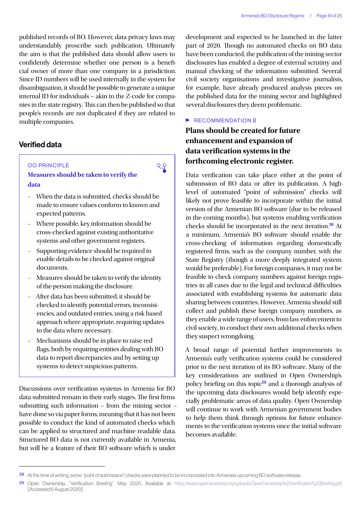published records of BO. However, data privacy laws may understandably proscribe such publication. Ultimately the aim is that the published data should allow users to confidently determine whether one person is a beneficial owner of more than one company in a jurisdiction. Since ID numbers will be used internally in the system for disambiguation, it should be possible to generate a unique internal ID for individuals – akin to the Z-code for companies in the state registry. This can then be published so that people's records are not duplicated if they are related to multiple companies.

## Verified data

#### OO PRINCIPLE



- **Measures should be taken to verify the data**
- When the data is submitted, checks should be made to ensure values conform to known and expected patterns.
- Where possible, key information should be cross-checked against existing authoritative systems and other government registers.
- Supporting evidence should be required to enable details to be checked against original documents.
- Measures should be taken to verify the identity of the person making the disclosure.
- After data has been submitted, it should be checked to identify potential errors, inconsistencies, and outdated entries, using a risk based approach where appropriate, requiring updates to the data where necessary.
- Mechanisms should be in place to raise red flags, both by requiring entities dealing with BO data to report discrepancies and by setting up systems to detect suspicious patterns.

Discussions over verification systems in Armenia for BO data submitted remain in their early stages. The first firms submitting such information – from the mining sector – have done so via paper forms, meaning that it has not been possible to conduct the kind of automated checks which can be applied to structured and machine readable data. Structured BO data is not currently available in Armenia, but will be a feature of their BO software which is under

development and expected to be launched in the latter part of 2020. Though no automated checks on BO data have been conducted, the publication of the mining sector disclosures has enabled a degree of external scrutiny and manual checking of the information submitted. Several civil society organisations and investigative journalists, for example, have already produced analysis pieces on the published data for the mining sector and highlighted several disclosures they deem problematic.

#### $\triangleright$  RECOMMENDATION 8

## **Plans should be created for future enhancement and expansion of data verification systems in the forthcoming electronic register.**

Data verification can take place either at the point of submission of BO data or after its publication. A highlevel of automated "point of submission" checks will likely not prove feasible to incorporate within the initial version of the Armenian BO software (due to be released in the coming months), but systems enabling verification checks should be incorporated in the next iteration.<sup>28</sup> At a minimum, Armenia's BO software should enable the cross-checking of information regarding domestically registered firms, such as the company number, with the State Registry (though a more deeply integrated system would be preferable). For foreign companies, it may not be feasible to check company numbers against foreign registries in all cases due to the legal and technical difficulties associated with establishing systems for automatic data sharing between countries. However, Armenia should still collect and publish these foreign company numbers, as they enable a wide range of users, from law enforcement to civil society, to conduct their own additional checks when they suspect wrongdoing.

A broad range of potential further improvements to Armenia's early verification systems could be considered prior to the next iteration of its BO software. Many of the key considerations are outlined in Open Ownership's policy briefing on this topic<sup>29</sup> and a thorough analysis of the upcoming data disclosures would help identify especially problematic areas of data quality. Open Ownership will continue to work with Armenian government bodies to help them think through options for future enhancements to the verification systems once the initial software becomes available.

<sup>28</sup> At the time of writing, some "point of submission" checks were planned to be incorporated into Armenia's upcoming BO software release.

<sup>29</sup> Open Ownership, "Verification Briefing". May 2020. Available at: <https://www.openownership.org/uploads/OpenOwnership%20Verification%20Briefing.pdf> [Accessed 6 August 2020].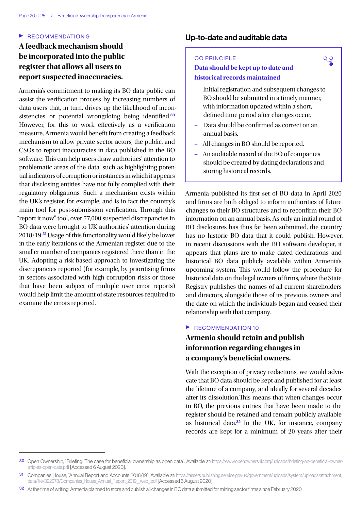#### $\blacktriangleright$  RECOMMENDATION 9

## **A feedback mechanism should be incorporated into the public register that allows all users to report suspected inaccuracies.**

Armenia's commitment to making its BO data public can assist the verification process by increasing numbers of data users that, in turn, drives up the likelihood of inconsistencies or potential wrongdoing being identified.<sup>30</sup> However, for this to work effectively as a verification measure, Armenia would benefit from creating a feedback mechanism to allow private sector actors, the public, and CSOs to report inaccuracies in data published in the BO software. This can help users draw authorities' attention to problematic areas of the data, such as highlighting potential indicators of corruption or instances in which it appears that disclosing entities have not fully complied with their regulatory obligations. Such a mechanism exists within the UK's register, for example, and is in fact the country's main tool for post-submission verification. Through this "report it now" tool, over 77,000 suspected discrepancies in BO data were brought to UK authorities' attention during 2018/19.<sup>31</sup> Usage of this functionality would likely be lower in the early iterations of the Armenian register due to the smaller number of companies registered there than in the UK. Adopting a risk-based approach to investigating the discrepancies reported (for example, by prioritising firms in sectors associated with high corruption risks or those that have been subject of multiple user error reports) would help limit the amount of state resources required to examine the errors reported.

## Up-to-date and auditable data

#### OO PRINCIPLE

## **Data should be kept up to date and historical records maintained**

– Initial registration and subsequent changes to BO should be submitted in a timely manner, with information updated within a short, defined time period after changes occur.

९२

- Data should be confirmed as correct on an annual basis.
- All changes in BO should be reported.
- An auditable record of the BO of companies should be created by dating declarations and storing historical records.

Armenia published its first set of BO data in April 2020 and firms are both obliged to inform authorities of future changes to their BO structures and to reconfirm their BO information on an annual basis. As only an initial round of BO disclosures has thus far been submitted, the country has no historic BO data that it could publish. However, in recent discussions with the BO software developer, it appears that plans are to make dated declarations and historical BO data publicly available within Armenia's upcoming system. This would follow the procedure for historical data on the legal owners of firms, where the State Registry publishes the names of all current shareholders and directors, alongside those of its previous owners and the date on which the individuals began and ceased their relationship with that company.

#### $\blacktriangleright$  RECOMMENDATION 10

## **Armenia should retain and publish information regarding changes in a company's beneficial owners.**

With the exception of privacy redactions, we would advocate that BO data should be kept and published for at least the lifetime of a company, and ideally for several decades after its dissolution.This means that when changes occur to BO, the previous entries that have been made to the register should be retained and remain publicly available as historical data.<sup>32</sup> In the UK, for instance, company records are kept for a minimum of 20 years after their

<sup>30</sup> Open Ownership, "Briefing: The case for beneficial ownership as open data". Available at: [https://www.openownership.org/uploads/briefing-on-beneficial-owner](https://www.openownership.org/uploads/briefing-on-beneficial-ownership-as-open-data.pdf)[ship-as-open-data.pdf](https://www.openownership.org/uploads/briefing-on-beneficial-ownership-as-open-data.pdf) [Accessed 6 August 2020].

<sup>31</sup> Companies House, "Annual Report and Accounts 2018/19". Available at: [https://assets.publishing.service.gov.uk/government/uploads/system/uploads/attachment\\_](https://assets.publishing.service.gov.uk/government/uploads/system/uploads/attachment_data/file/822078/Companies_House_Annual_Report_2019__web_.pdf) data/file/822078/Companies House Annual Report 2019\_web\_pdf [Accessed 6 August 2020].

<sup>32</sup> At the time of writing, Armenia planned to store and publish all changes in BO data submitted for mining sector firms since February 2020.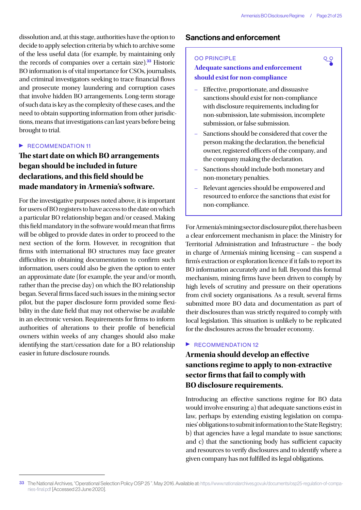९२

dissolution and, at this stage, authorities have the option to decide to apply selection criteria by which to archive some of the less useful data (for example, by maintaining only the records of companies over a certain size).<sup>33</sup> Historic BO information is of vital importance for CSOs, journalists, and criminal investigators seeking to trace financial flows and prosecute money laundering and corruption cases that involve hidden BO arrangements. Long-term storage of such data is key as the complexity of these cases, and the need to obtain supporting information from other jurisdictions, means that investigations can last years before being brought to trial.

#### $\blacktriangleright$  RECOMMENDATION 11

## **The start date on which BO arrangements began should be included in future declarations, and this field should be made mandatory in Armenia's software.**

For the investigative purposes noted above, it is important for users of BO registers to have access to the date on which a particular BO relationship began and/or ceased. Making this field mandatory in the software would mean that firms will be obliged to provide dates in order to proceed to the next section of the form. However, in recognition that firms with international BO structures may face greater difficulties in obtaining documentation to confirm such information, users could also be given the option to enter an approximate date (for example, the year and/or month, rather than the precise day) on which the BO relationship began. Several firms faced such issues in the mining sector pilot, but the paper disclosure form provided some flexibility in the date field that may not otherwise be available in an electronic version. Requirements for firms to inform authorities of alterations to their profile of beneficial owners within weeks of any changes should also make identifying the start/cessation date for a BO relationship easier in future disclosure rounds.

## Sanctions and enforcement

#### OO PRINCIPLE

## **Adequate sanctions and enforcement should exist for non-compliance**

- Effective, proportionate, and dissuasive sanctions should exist for non-compliance with disclosure requirements, including for non-submission, late submission, incomplete submission, or false submission.
- Sanctions should be considered that cover the person making the declaration, the beneficial owner, registered officers of the company, and the company making the declaration.
- Sanctions should include both monetary and non-monetary penalties.
- Relevant agencies should be empowered and resourced to enforce the sanctions that exist for non-compliance.

For Armenia's mining sector disclosure pilot, there has been a clear enforcement mechanism in place: the Ministry for Territorial Administration and Infrastructure – the body in charge of Armenia's mining licensing – can suspend a firm's extraction or exploration licence if it fails to report its BO information accurately and in full. Beyond this formal mechanism, mining firms have been driven to comply by high levels of scrutiny and pressure on their operations from civil society organisations. As a result, several firms submitted more BO data and documentation as part of their disclosures than was strictly required to comply with local legislation. This situation is unlikely to be replicated for the disclosures across the broader economy.

### $\triangleright$  RECOMMENDATION 12

## **Armenia should develop an effective sanctions regime to apply to non-extractive sector firms that fail to comply with BO disclosure requirements.**

Introducing an effective sanctions regime for BO data would involve ensuring: a) that adequate sanctions exist in law, perhaps by extending existing legislation on companies' obligations to submit information to the State Registry; b) that agencies have a legal mandate to issue sanctions; and c) that the sanctioning body has sufficient capacity and resources to verify disclosures and to identify where a given company has not fulfilled its legal obligations.

<sup>33</sup> The National Archives, "Operational Selection Policy OSP 25". May 2016. Available at: [https://www.nationalarchives.gov.uk/documents/osp25-regulation-of-compa](https://www.nationalarchives.gov.uk/documents/osp25-regulation-of-companies-final.pdf)[nies-final.pdf](https://www.nationalarchives.gov.uk/documents/osp25-regulation-of-companies-final.pdf) [Accessed 23 June 2020].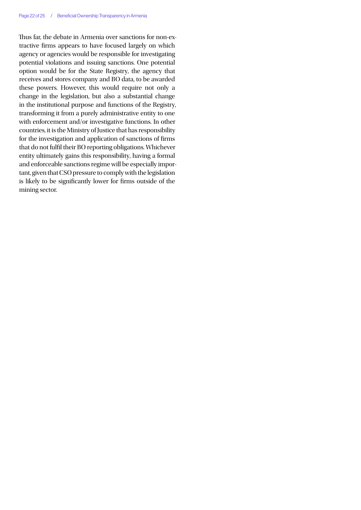Thus far, the debate in Armenia over sanctions for non-extractive firms appears to have focused largely on which agency or agencies would be responsible for investigating potential violations and issuing sanctions. One potential option would be for the State Registry, the agency that receives and stores company and BO data, to be awarded these powers. However, this would require not only a change in the legislation, but also a substantial change in the institutional purpose and functions of the Registry, transforming it from a purely administrative entity to one with enforcement and/or investigative functions. In other countries, it is the Ministry of Justice that has responsibility for the investigation and application of sanctions of firms that do not fulfil their BO reporting obligations. Whichever entity ultimately gains this responsibility, having a formal and enforceable sanctions regime will be especially important, given that CSO pressure to comply with the legislation is likely to be significantly lower for firms outside of the mining sector.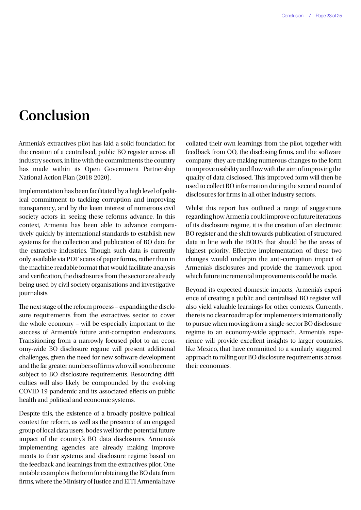## <span id="page-22-0"></span>**Conclusion**

Armenia's extractives pilot has laid a solid foundation for the creation of a centralised, public BO register across all industry sectors, in line with the commitments the country has made within its Open Government Partnership National Action Plan (2018-2020).

Implementation has been facilitated by a high level of political commitment to tackling corruption and improving transparency, and by the keen interest of numerous civil society actors in seeing these reforms advance. In this context, Armenia has been able to advance comparatively quickly by international standards to establish new systems for the collection and publication of BO data for the extractive industries. Though such data is currently only available via PDF scans of paper forms, rather than in the machine readable format that would facilitate analysis and verification, the disclosures from the sector are already being used by civil society organisations and investigative journalists.

The next stage of the reform process – expanding the disclosure requirements from the extractives sector to cover the whole economy – will be especially important to the success of Armenia's future anti-corruption endeavours. Transitioning from a narrowly focused pilot to an economy-wide BO disclosure regime will present additional challenges, given the need for new software development and the far greater numbers of firms who will soon become subject to BO disclosure requirements. Resourcing difficulties will also likely be compounded by the evolving COVID-19 pandemic and its associated effects on public health and political and economic systems.

Despite this, the existence of a broadly positive political context for reform, as well as the presence of an engaged group of local data users, bodes well for the potential future impact of the country's BO data disclosures. Armenia's implementing agencies are already making improvements to their systems and disclosure regime based on the feedback and learnings from the extractives pilot. One notable example is the form for obtaining the BO data from firms, where the Ministry of Justice and EITI Armenia have

collated their own learnings from the pilot, together with feedback from OO, the disclosing firms, and the software company; they are making numerous changes to the form to improve usability and flow with the aim of improving the quality of data disclosed. This improved form will then be used to collect BO information during the second round of disclosures for firms in all other industry sectors.

Whilst this report has outlined a range of suggestions regarding how Armenia could improve on future iterations of its disclosure regime, it is the creation of an electronic BO register and the shift towards publication of structured data in line with the BODS that should be the areas of highest priority. Effective implementation of these two changes would underpin the anti-corruption impact of Armenia's disclosures and provide the framework upon which future incremental improvements could be made.

Beyond its expected domestic impacts, Armenia's experience of creating a public and centralised BO register will also yield valuable learnings for other contexts. Currently, there is no clear roadmap for implementers internationally to pursue when moving from a single-sector BO disclosure regime to an economy-wide approach. Armenia's experience will provide excellent insights to larger countries, like Mexico, that have committed to a similarly staggered approach to rolling out BO disclosure requirements across their economies.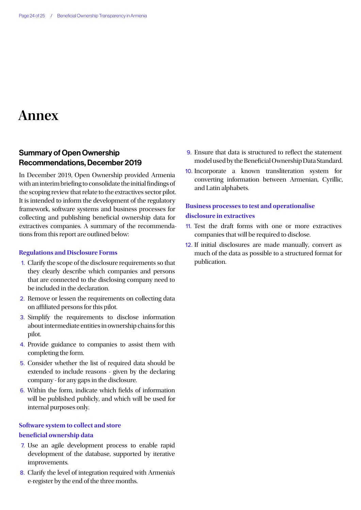## <span id="page-23-1"></span><span id="page-23-0"></span>**Annex**

## Summary of Open Ownership Recommendations, December 2019

In December 2019, Open Ownership provided Armenia with an interim briefing to consolidate the initial findings of the scoping review that relate to the extractives sector pilot. It is intended to inform the development of the regulatory framework, software systems and business processes for collecting and publishing beneficial ownership data for extractives companies. A summary of the recommendations from this report are outlined below:

#### **Regulations and Disclosure Forms**

- 1. Clarify the scope of the disclosure requirements so that they clearly describe which companies and persons that are connected to the disclosing company need to be included in the declaration.
- 2. Remove or lessen the requirements on collecting data on affiliated persons for this pilot.
- 3. Simplify the requirements to disclose information about intermediate entities in ownership chains for this pilot.
- 4. Provide guidance to companies to assist them with completing the form.
- 5. Consider whether the list of required data should be extended to include reasons - given by the declaring company - for any gaps in the disclosure.
- 6. Within the form, indicate which fields of information will be published publicly, and which will be used for internal purposes only.

## **Software system to collect and store beneficial ownership data**

- 7. Use an agile development process to enable rapid development of the database, supported by iterative improvements.
- 8. Clarify the level of integration required with Armenia's e-register by the end of the three months.
- 9. Ensure that data is structured to reflect the statement model used by the Beneficial Ownership Data Standard.
- 10. Incorporate a known transliteration system for converting information between Armenian, Cyrillic, and Latin alphabets.

## **Business processes to test and operationalise disclosure in extractives**

- 11. Test the draft forms with one or more extractives companies that will be required to disclose.
- 12. If initial disclosures are made manually, convert as much of the data as possible to a structured format for publication.